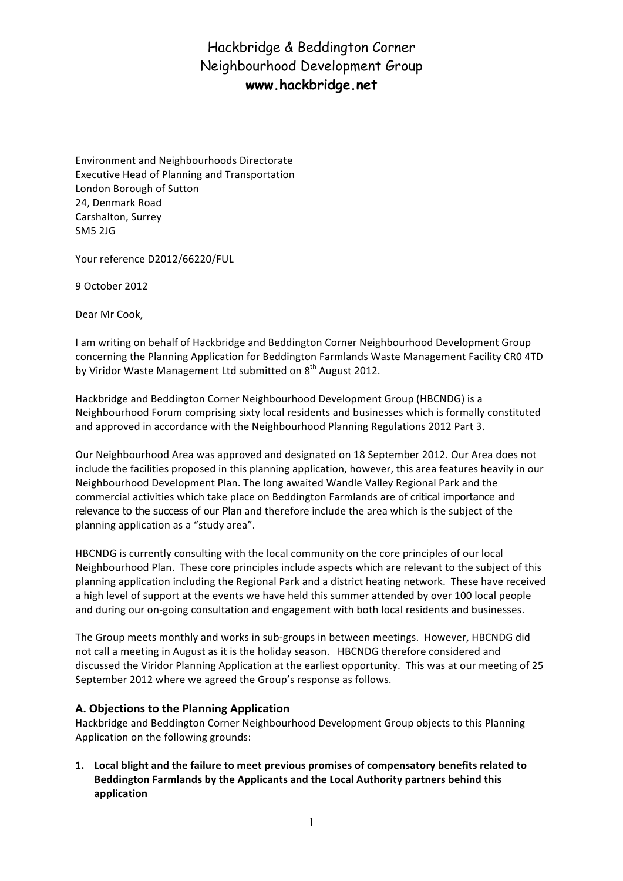Environment and Neighbourhoods Directorate Executive Head of Planning and Transportation London Borough of Sutton 24, Denmark Road Carshalton, Surrey SM5 2JG

Your reference D2012/66220/FUL

9 October 2012

Dear Mr Cook,

I am writing on behalf of Hackbridge and Beddington Corner Neighbourhood Development Group concerning the Planning Application for Beddington Farmlands Waste Management Facility CR0 4TD by Viridor Waste Management Ltd submitted on  $8<sup>th</sup>$  August 2012.

Hackbridge and Beddington Corner Neighbourhood Development Group (HBCNDG) is a Neighbourhood Forum comprising sixty local residents and businesses which is formally constituted and approved in accordance with the Neighbourhood Planning Regulations 2012 Part 3.

Our Neighbourhood Area was approved and designated on 18 September 2012. Our Area does not include the facilities proposed in this planning application, however, this area features heavily in our Neighbourhood Development Plan. The long awaited Wandle Valley Regional Park and the commercial activities which take place on Beddington Farmlands are of critical importance and relevance to the success of our Plan and therefore include the area which is the subject of the planning application as a "study area".

HBCNDG is currently consulting with the local community on the core principles of our local Neighbourhood Plan. These core principles include aspects which are relevant to the subject of this planning application including the Regional Park and a district heating network. These have received a high level of support at the events we have held this summer attended by over 100 local people and during our on-going consultation and engagement with both local residents and businesses.

The Group meets monthly and works in sub-groups in between meetings. However, HBCNDG did not call a meeting in August as it is the holiday season. HBCNDG therefore considered and discussed the Viridor Planning Application at the earliest opportunity. This was at our meeting of 25 September 2012 where we agreed the Group's response as follows.

### **A. Objections to the Planning Application**

Hackbridge and Beddington Corner Neighbourhood Development Group objects to this Planning Application on the following grounds:

1. Local blight and the failure to meet previous promises of compensatory benefits related to Beddington Farmlands by the Applicants and the Local Authority partners behind this **application**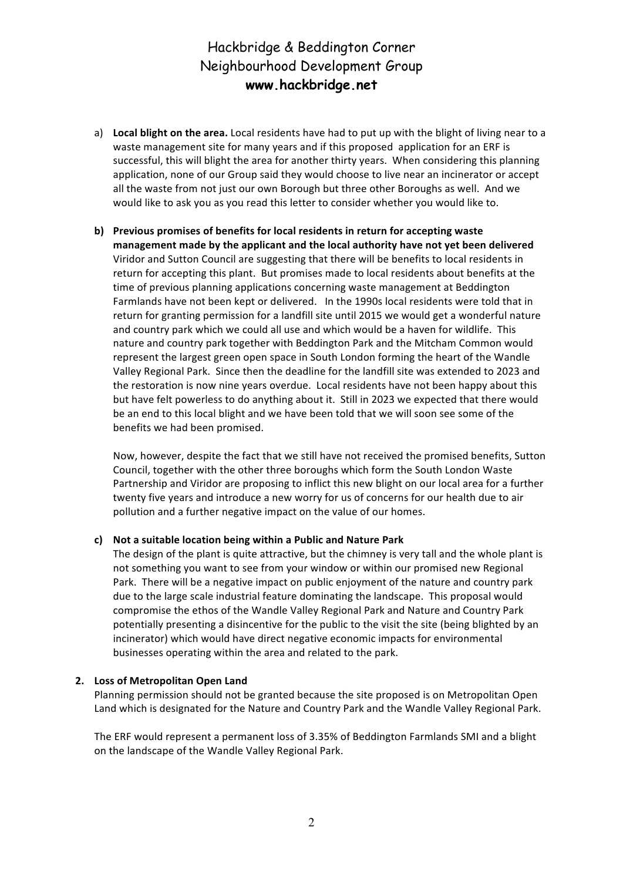- a) Local blight on the area. Local residents have had to put up with the blight of living near to a waste management site for many years and if this proposed application for an ERF is successful, this will blight the area for another thirty years. When considering this planning application, none of our Group said they would choose to live near an incinerator or accept all the waste from not just our own Borough but three other Boroughs as well. And we would like to ask you as you read this letter to consider whether you would like to.
- **b)** Previous promises of benefits for local residents in return for accepting waste management made by the applicant and the local authority have not yet been delivered Viridor and Sutton Council are suggesting that there will be benefits to local residents in return for accepting this plant. But promises made to local residents about benefits at the time of previous planning applications concerning waste management at Beddington Farmlands have not been kept or delivered. In the 1990s local residents were told that in return for granting permission for a landfill site until 2015 we would get a wonderful nature and country park which we could all use and which would be a haven for wildlife. This nature and country park together with Beddington Park and the Mitcham Common would represent the largest green open space in South London forming the heart of the Wandle Valley Regional Park. Since then the deadline for the landfill site was extended to 2023 and the restoration is now nine years overdue. Local residents have not been happy about this but have felt powerless to do anything about it. Still in 2023 we expected that there would be an end to this local blight and we have been told that we will soon see some of the benefits we had been promised.

Now, however, despite the fact that we still have not received the promised benefits, Sutton Council, together with the other three boroughs which form the South London Waste Partnership and Viridor are proposing to inflict this new blight on our local area for a further twenty five years and introduce a new worry for us of concerns for our health due to air pollution and a further negative impact on the value of our homes.

#### c) Not a suitable location being within a Public and Nature Park

The design of the plant is quite attractive, but the chimney is very tall and the whole plant is not something you want to see from your window or within our promised new Regional Park. There will be a negative impact on public enjoyment of the nature and country park due to the large scale industrial feature dominating the landscape. This proposal would compromise the ethos of the Wandle Valley Regional Park and Nature and Country Park potentially presenting a disincentive for the public to the visit the site (being blighted by an incinerator) which would have direct negative economic impacts for environmental businesses operating within the area and related to the park.

#### **2. Loss of Metropolitan Open Land**

Planning permission should not be granted because the site proposed is on Metropolitan Open Land which is designated for the Nature and Country Park and the Wandle Valley Regional Park.

The ERF would represent a permanent loss of 3.35% of Beddington Farmlands SMI and a blight on the landscape of the Wandle Valley Regional Park.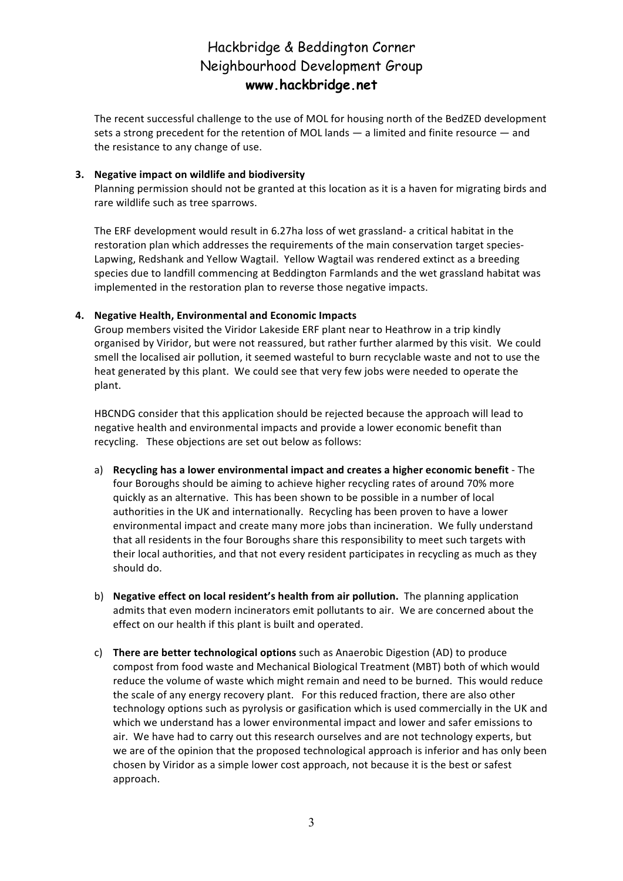The recent successful challenge to the use of MOL for housing north of the BedZED development sets a strong precedent for the retention of MOL lands  $-$  a limited and finite resource  $-$  and the resistance to any change of use.

#### **3.** Negative impact on wildlife and biodiversity

Planning permission should not be granted at this location as it is a haven for migrating birds and rare wildlife such as tree sparrows.

The ERF development would result in 6.27ha loss of wet grassland- a critical habitat in the restoration plan which addresses the requirements of the main conservation target species-Lapwing, Redshank and Yellow Wagtail. Yellow Wagtail was rendered extinct as a breeding species due to landfill commencing at Beddington Farmlands and the wet grassland habitat was implemented in the restoration plan to reverse those negative impacts.

#### 4. Negative Health, Environmental and Economic Impacts

Group members visited the Viridor Lakeside ERF plant near to Heathrow in a trip kindly organised by Viridor, but were not reassured, but rather further alarmed by this visit. We could smell the localised air pollution, it seemed wasteful to burn recyclable waste and not to use the heat generated by this plant. We could see that very few jobs were needed to operate the plant. 

HBCNDG consider that this application should be rejected because the approach will lead to negative health and environmental impacts and provide a lower economic benefit than recycling. These objections are set out below as follows:

- a) **Recycling has a lower environmental impact and creates a higher economic benefit** The four Boroughs should be aiming to achieve higher recycling rates of around 70% more quickly as an alternative. This has been shown to be possible in a number of local authorities in the UK and internationally. Recycling has been proven to have a lower environmental impact and create many more jobs than incineration. We fully understand that all residents in the four Boroughs share this responsibility to meet such targets with their local authorities, and that not every resident participates in recycling as much as they should do.
- b) Negative effect on local resident's health from air pollution. The planning application admits that even modern incinerators emit pollutants to air. We are concerned about the effect on our health if this plant is built and operated.
- c) **There are better technological options** such as Anaerobic Digestion (AD) to produce compost from food waste and Mechanical Biological Treatment (MBT) both of which would reduce the volume of waste which might remain and need to be burned. This would reduce the scale of any energy recovery plant. For this reduced fraction, there are also other technology options such as pyrolysis or gasification which is used commercially in the UK and which we understand has a lower environmental impact and lower and safer emissions to air. We have had to carry out this research ourselves and are not technology experts, but we are of the opinion that the proposed technological approach is inferior and has only been chosen by Viridor as a simple lower cost approach, not because it is the best or safest approach.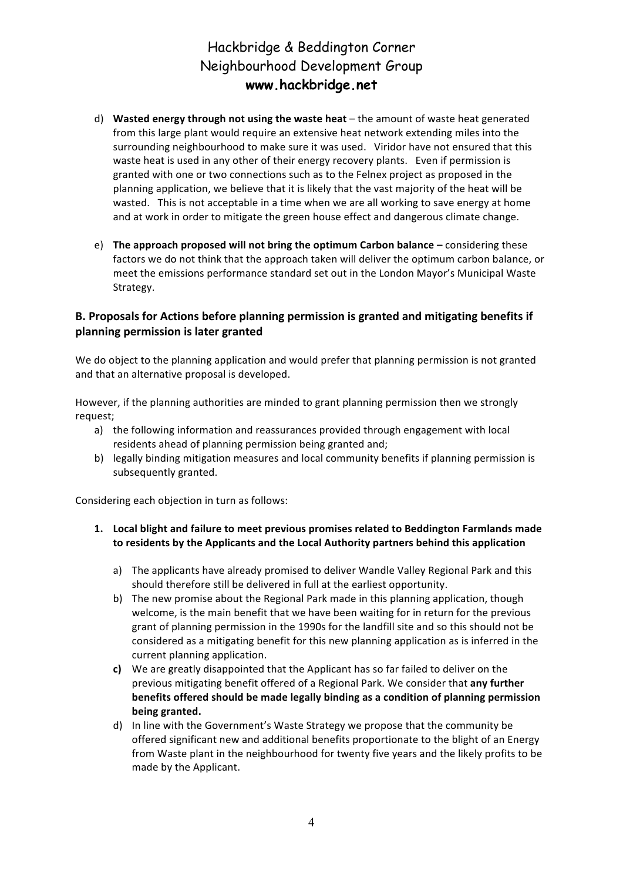- d) Wasted energy through not using the waste heat the amount of waste heat generated from this large plant would require an extensive heat network extending miles into the surrounding neighbourhood to make sure it was used. Viridor have not ensured that this waste heat is used in any other of their energy recovery plants. Even if permission is granted with one or two connections such as to the Felnex project as proposed in the planning application, we believe that it is likely that the vast majority of the heat will be wasted. This is not acceptable in a time when we are all working to save energy at home and at work in order to mitigate the green house effect and dangerous climate change.
- e) **The approach proposed will not bring the optimum Carbon balance** considering these factors we do not think that the approach taken will deliver the optimum carbon balance, or meet the emissions performance standard set out in the London Mayor's Municipal Waste Strategy.

## **B.** Proposals for Actions before planning permission is granted and mitigating benefits if **planning permission is later granted**

We do object to the planning application and would prefer that planning permission is not granted and that an alternative proposal is developed.

However, if the planning authorities are minded to grant planning permission then we strongly request; 

- a) the following information and reassurances provided through engagement with local residents ahead of planning permission being granted and;
- b) legally binding mitigation measures and local community benefits if planning permission is subsequently granted.

Considering each objection in turn as follows:

- 1. Local blight and failure to meet previous promises related to Beddington Farmlands made to residents by the Applicants and the Local Authority partners behind this application
	- a) The applicants have already promised to deliver Wandle Valley Regional Park and this should therefore still be delivered in full at the earliest opportunity.
	- b) The new promise about the Regional Park made in this planning application, though welcome, is the main benefit that we have been waiting for in return for the previous grant of planning permission in the 1990s for the landfill site and so this should not be considered as a mitigating benefit for this new planning application as is inferred in the current planning application.
	- **c)** We are greatly disappointed that the Applicant has so far failed to deliver on the previous mitigating benefit offered of a Regional Park. We consider that **any further benefits offered should be made legally binding as a condition of planning permission being granted.**
	- d) In line with the Government's Waste Strategy we propose that the community be offered significant new and additional benefits proportionate to the blight of an Energy from Waste plant in the neighbourhood for twenty five years and the likely profits to be made by the Applicant.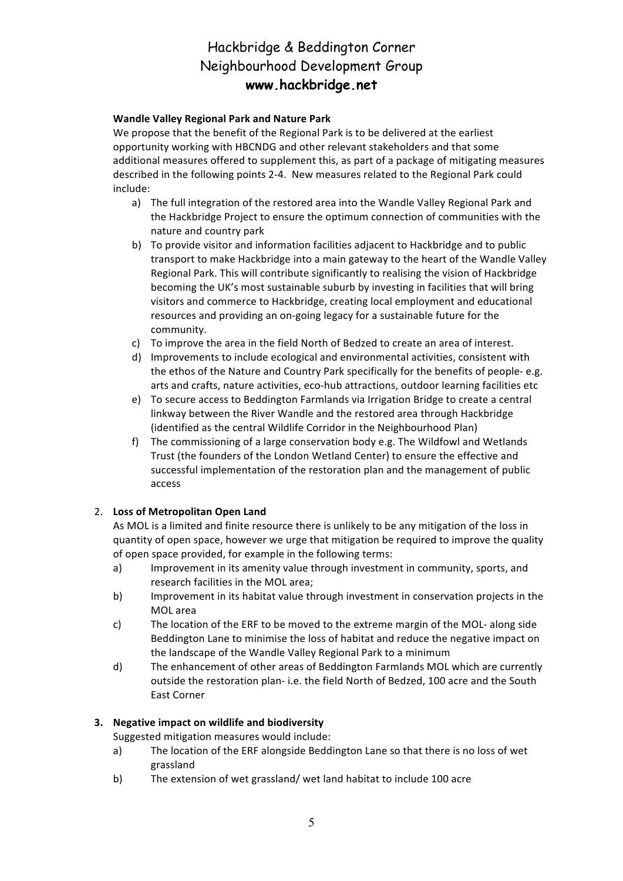### **Wandle Valley Regional Park and Nature Park**

We propose that the benefit of the Regional Park is to be delivered at the earliest opportunity working with HBCNDG and other relevant stakeholders and that some additional measures offered to supplement this, as part of a package of mitigating measures described in the following points 2-4. New measures related to the Regional Park could include:

- a) The full integration of the restored area into the Wandle Valley Regional Park and the Hackbridge Project to ensure the optimum connection of communities with the nature and country park
- b) To provide visitor and information facilities adjacent to Hackbridge and to public transport to make Hackbridge into a main gateway to the heart of the Wandle Valley Regional Park. This will contribute significantly to realising the vision of Hackbridge becoming the UK's most sustainable suburb by investing in facilities that will bring visitors and commerce to Hackbridge, creating local employment and educational resources and providing an on-going legacy for a sustainable future for the community.
- c) To improve the area in the field North of Bedzed to create an area of interest.
- d) Improvements to include ecological and environmental activities, consistent with the ethos of the Nature and Country Park specifically for the benefits of people-e.g. arts and crafts, nature activities, eco-hub attractions, outdoor learning facilities etc
- e) To secure access to Beddington Farmlands via Irrigation Bridge to create a central linkway between the River Wandle and the restored area through Hackbridge (identified as the central Wildlife Corridor in the Neighbourhood Plan)
- f) The commissioning of a large conservation body e.g. The Wildfowl and Wetlands Trust (the founders of the London Wetland Center) to ensure the effective and successful implementation of the restoration plan and the management of public access

### 2. Loss of Metropolitan Open Land

As MOL is a limited and finite resource there is unlikely to be any mitigation of the loss in quantity of open space, however we urge that mitigation be required to improve the quality of open space provided, for example in the following terms:

- a) Improvement in its amenity value through investment in community, sports, and research facilities in the MOL area;
- b) Improvement in its habitat value through investment in conservation projects in the MOL area
- c) The location of the ERF to be moved to the extreme margin of the MOL- along side Beddington Lane to minimise the loss of habitat and reduce the negative impact on the landscape of the Wandle Valley Regional Park to a minimum
- d) The enhancement of other areas of Beddington Farmlands MOL which are currently outside the restoration plan- i.e. the field North of Bedzed, 100 acre and the South East Corner

### **3.** Negative impact on wildlife and biodiversity

Suggested mitigation measures would include:

- a) The location of the ERF alongside Beddington Lane so that there is no loss of wet grassland
- b) The extension of wet grassland/ wet land habitat to include 100 acre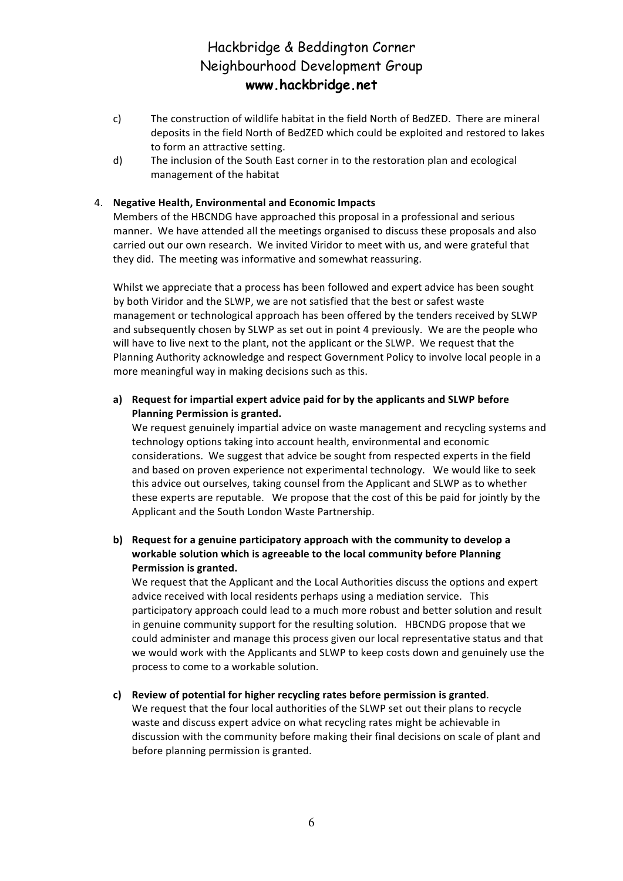- c) The construction of wildlife habitat in the field North of BedZED. There are mineral deposits in the field North of BedZED which could be exploited and restored to lakes to form an attractive setting.
- d) The inclusion of the South East corner in to the restoration plan and ecological management of the habitat

#### 4. Negative Health, Environmental and Economic Impacts

Members of the HBCNDG have approached this proposal in a professional and serious manner. We have attended all the meetings organised to discuss these proposals and also carried out our own research. We invited Viridor to meet with us, and were grateful that they did. The meeting was informative and somewhat reassuring.

Whilst we appreciate that a process has been followed and expert advice has been sought by both Viridor and the SLWP, we are not satisfied that the best or safest waste management or technological approach has been offered by the tenders received by SLWP and subsequently chosen by SLWP as set out in point 4 previously. We are the people who will have to live next to the plant, not the applicant or the SLWP. We request that the Planning Authority acknowledge and respect Government Policy to involve local people in a more meaningful way in making decisions such as this.

### a) Request for impartial expert advice paid for by the applicants and SLWP before **Planning Permission is granted.**

We request genuinely impartial advice on waste management and recycling systems and technology options taking into account health, environmental and economic considerations. We suggest that advice be sought from respected experts in the field and based on proven experience not experimental technology. We would like to seek this advice out ourselves, taking counsel from the Applicant and SLWP as to whether these experts are reputable. We propose that the cost of this be paid for jointly by the Applicant and the South London Waste Partnership.

### **b)** Request for a genuine participatory approach with the community to develop a workable solution which is agreeable to the local community before Planning **Permission is granted.**

We request that the Applicant and the Local Authorities discuss the options and expert advice received with local residents perhaps using a mediation service. This participatory approach could lead to a much more robust and better solution and result in genuine community support for the resulting solution. HBCNDG propose that we could administer and manage this process given our local representative status and that we would work with the Applicants and SLWP to keep costs down and genuinely use the process to come to a workable solution.

#### **c) Review of potential for higher recycling rates before permission is granted**.

We request that the four local authorities of the SLWP set out their plans to recycle waste and discuss expert advice on what recycling rates might be achievable in discussion with the community before making their final decisions on scale of plant and before planning permission is granted.